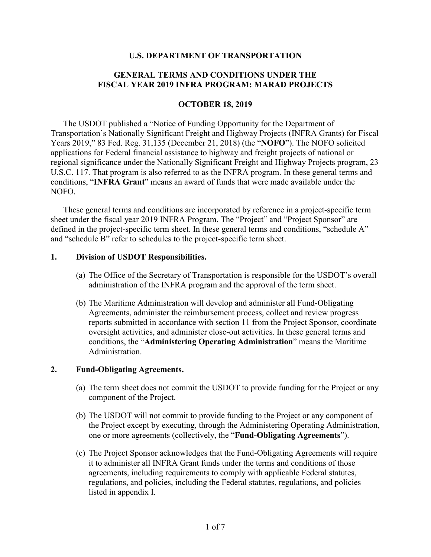#### **U.S. DEPARTMENT OF TRANSPORTATION**

#### **GENERAL TERMS AND CONDITIONS UNDER THE FISCAL YEAR 2019 INFRA PROGRAM: MARAD PROJECTS**

#### **OCTOBER 18, 2019**

The USDOT published a "Notice of Funding Opportunity for the Department of Transportation's Nationally Significant Freight and Highway Projects (INFRA Grants) for Fiscal Years 2019," 83 Fed. Reg. 31,135 (December 21, 2018) (the "**NOFO**"). The NOFO solicited applications for Federal financial assistance to highway and freight projects of national or regional significance under the Nationally Significant Freight and Highway Projects program, 23 U.S.C. 117. That program is also referred to as the INFRA program. In these general terms and conditions, "**INFRA Grant**" means an award of funds that were made available under the NOFO.

These general terms and conditions are incorporated by reference in a project-specific term sheet under the fiscal year 2019 INFRA Program. The "Project" and "Project Sponsor" are defined in the project-specific term sheet. In these general terms and conditions, "schedule A" and "schedule B" refer to schedules to the project-specific term sheet.

#### **1. Division of USDOT Responsibilities.**

- (a) The Office of the Secretary of Transportation is responsible for the USDOT's overall administration of the INFRA program and the approval of the term sheet.
- (b) The Maritime Administration will develop and administer all Fund-Obligating Agreements, administer the reimbursement process, collect and review progress reports submitted in accordance with section 11 from the Project Sponsor, coordinate oversight activities, and administer close-out activities. In these general terms and conditions, the "**Administering Operating Administration**" means the Maritime Administration.

#### **2. Fund-Obligating Agreements.**

- (a) The term sheet does not commit the USDOT to provide funding for the Project or any component of the Project.
- (b) The USDOT will not commit to provide funding to the Project or any component of the Project except by executing, through the Administering Operating Administration, one or more agreements (collectively, the "**Fund-Obligating Agreements**").
- (c) The Project Sponsor acknowledges that the Fund-Obligating Agreements will require it to administer all INFRA Grant funds under the terms and conditions of those agreements, including requirements to comply with applicable Federal statutes, regulations, and policies, including the Federal statutes, regulations, and policies listed in appendix I.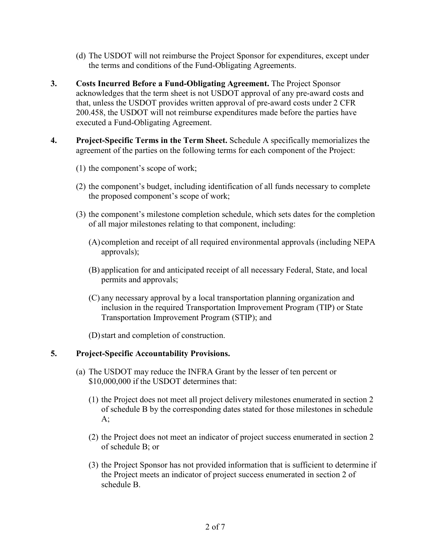- (d) The USDOT will not reimburse the Project Sponsor for expenditures, except under the terms and conditions of the Fund-Obligating Agreements.
- **3. Costs Incurred Before a Fund-Obligating Agreement.** The Project Sponsor acknowledges that the term sheet is not USDOT approval of any pre-award costs and that, unless the USDOT provides written approval of pre-award costs under 2 CFR 200.458, the USDOT will not reimburse expenditures made before the parties have executed a Fund-Obligating Agreement.
- **4. Project-Specific Terms in the Term Sheet.** Schedule A specifically memorializes the agreement of the parties on the following terms for each component of the Project:
	- (1) the component's scope of work;
	- (2) the component's budget, including identification of all funds necessary to complete the proposed component's scope of work;
	- (3) the component's milestone completion schedule, which sets dates for the completion of all major milestones relating to that component, including:
		- (A) completion and receipt of all required environmental approvals (including NEPA approvals);
		- (B) application for and anticipated receipt of all necessary Federal, State, and local permits and approvals;
		- (C) any necessary approval by a local transportation planning organization and inclusion in the required Transportation Improvement Program (TIP) or State Transportation Improvement Program (STIP); and
		- (D)start and completion of construction.

# **5. Project-Specific Accountability Provisions.**

- (a) The USDOT may reduce the INFRA Grant by the lesser of ten percent or \$10,000,000 if the USDOT determines that:
	- (1) the Project does not meet all project delivery milestones enumerated in section 2 of schedule B by the corresponding dates stated for those milestones in schedule  $A$ ;
	- (2) the Project does not meet an indicator of project success enumerated in section 2 of schedule B; or
	- (3) the Project Sponsor has not provided information that is sufficient to determine if the Project meets an indicator of project success enumerated in section 2 of schedule B.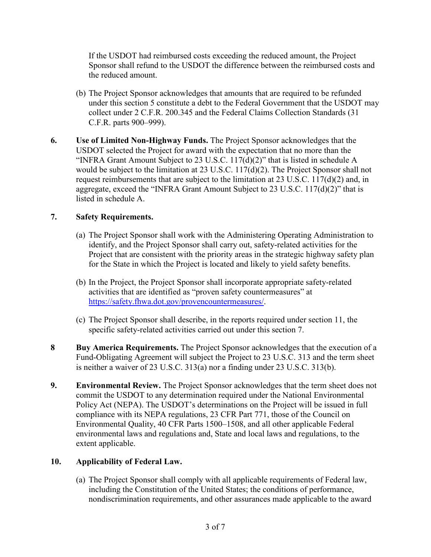If the USDOT had reimbursed costs exceeding the reduced amount, the Project Sponsor shall refund to the USDOT the difference between the reimbursed costs and the reduced amount.

- (b) The Project Sponsor acknowledges that amounts that are required to be refunded under this section 5 constitute a debt to the Federal Government that the USDOT may collect under 2 C.F.R. 200.345 and the Federal Claims Collection Standards (31 C.F.R. parts 900–999).
- **6. Use of Limited Non-Highway Funds.** The Project Sponsor acknowledges that the USDOT selected the Project for award with the expectation that no more than the "INFRA Grant Amount Subject to 23 U.S.C.  $117(d)(2)$ " that is listed in schedule A would be subject to the limitation at 23 U.S.C. 117(d)(2). The Project Sponsor shall not request reimbursements that are subject to the limitation at 23 U.S.C. 117(d)(2) and, in aggregate, exceed the "INFRA Grant Amount Subject to 23 U.S.C. 117(d)(2)" that is listed in schedule A.

# **7. Safety Requirements.**

- (a) The Project Sponsor shall work with the Administering Operating Administration to identify, and the Project Sponsor shall carry out, safety-related activities for the Project that are consistent with the priority areas in the strategic highway safety plan for the State in which the Project is located and likely to yield safety benefits.
- (b) In the Project, the Project Sponsor shall incorporate appropriate safety-related activities that are identified as "proven safety countermeasures" at [https://safety.fhwa.dot.gov/provencountermeasures/.](https://safety.fhwa.dot.gov/provencountermeasures/)
- (c) The Project Sponsor shall describe, in the reports required under section 11, the specific safety-related activities carried out under this section 7.
- **8 Buy America Requirements.** The Project Sponsor acknowledges that the execution of a Fund-Obligating Agreement will subject the Project to 23 U.S.C. 313 and the term sheet is neither a waiver of 23 U.S.C. 313(a) nor a finding under 23 U.S.C. 313(b).
- **9. Environmental Review.** The Project Sponsor acknowledges that the term sheet does not commit the USDOT to any determination required under the National Environmental Policy Act (NEPA). The USDOT's determinations on the Project will be issued in full compliance with its NEPA regulations, 23 CFR Part 771, those of the Council on Environmental Quality, 40 CFR Parts 1500–1508, and all other applicable Federal environmental laws and regulations and, State and local laws and regulations, to the extent applicable.

# **10. Applicability of Federal Law.**

(a) The Project Sponsor shall comply with all applicable requirements of Federal law, including the Constitution of the United States; the conditions of performance, nondiscrimination requirements, and other assurances made applicable to the award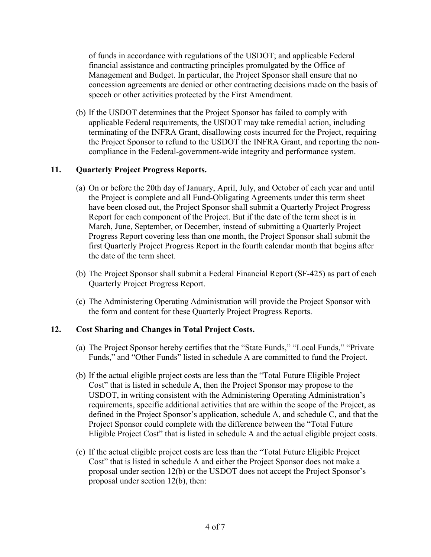of funds in accordance with regulations of the USDOT; and applicable Federal financial assistance and contracting principles promulgated by the Office of Management and Budget. In particular, the Project Sponsor shall ensure that no concession agreements are denied or other contracting decisions made on the basis of speech or other activities protected by the First Amendment.

(b) If the USDOT determines that the Project Sponsor has failed to comply with applicable Federal requirements, the USDOT may take remedial action, including terminating of the INFRA Grant, disallowing costs incurred for the Project, requiring the Project Sponsor to refund to the USDOT the INFRA Grant, and reporting the noncompliance in the Federal-government-wide integrity and performance system.

# **11. Quarterly Project Progress Reports.**

- (a) On or before the 20th day of January, April, July, and October of each year and until the Project is complete and all Fund-Obligating Agreements under this term sheet have been closed out, the Project Sponsor shall submit a Quarterly Project Progress Report for each component of the Project. But if the date of the term sheet is in March, June, September, or December, instead of submitting a Quarterly Project Progress Report covering less than one month, the Project Sponsor shall submit the first Quarterly Project Progress Report in the fourth calendar month that begins after the date of the term sheet.
- (b) The Project Sponsor shall submit a Federal Financial Report (SF-425) as part of each Quarterly Project Progress Report.
- (c) The Administering Operating Administration will provide the Project Sponsor with the form and content for these Quarterly Project Progress Reports.

#### **12. Cost Sharing and Changes in Total Project Costs.**

- (a) The Project Sponsor hereby certifies that the "State Funds," "Local Funds," "Private Funds," and "Other Funds" listed in schedule A are committed to fund the Project.
- (b) If the actual eligible project costs are less than the "Total Future Eligible Project Cost" that is listed in schedule A, then the Project Sponsor may propose to the USDOT, in writing consistent with the Administering Operating Administration's requirements, specific additional activities that are within the scope of the Project, as defined in the Project Sponsor's application, schedule A, and schedule C, and that the Project Sponsor could complete with the difference between the "Total Future Eligible Project Cost" that is listed in schedule A and the actual eligible project costs.
- (c) If the actual eligible project costs are less than the "Total Future Eligible Project Cost" that is listed in schedule A and either the Project Sponsor does not make a proposal under section 12(b) or the USDOT does not accept the Project Sponsor's proposal under section 12(b), then: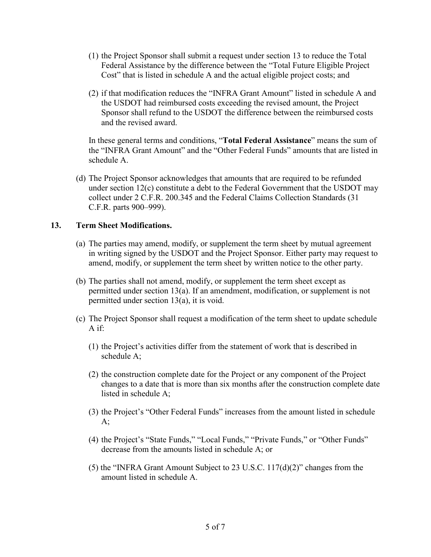- (1) the Project Sponsor shall submit a request under section 13 to reduce the Total Federal Assistance by the difference between the "Total Future Eligible Project Cost" that is listed in schedule A and the actual eligible project costs; and
- (2) if that modification reduces the "INFRA Grant Amount" listed in schedule A and the USDOT had reimbursed costs exceeding the revised amount, the Project Sponsor shall refund to the USDOT the difference between the reimbursed costs and the revised award.

In these general terms and conditions, "**Total Federal Assistance**" means the sum of the "INFRA Grant Amount" and the "Other Federal Funds" amounts that are listed in schedule A.

(d) The Project Sponsor acknowledges that amounts that are required to be refunded under section 12(c) constitute a debt to the Federal Government that the USDOT may collect under 2 C.F.R. 200.345 and the Federal Claims Collection Standards (31 C.F.R. parts 900–999).

### **13. Term Sheet Modifications.**

- (a) The parties may amend, modify, or supplement the term sheet by mutual agreement in writing signed by the USDOT and the Project Sponsor. Either party may request to amend, modify, or supplement the term sheet by written notice to the other party.
- (b) The parties shall not amend, modify, or supplement the term sheet except as permitted under section 13(a). If an amendment, modification, or supplement is not permitted under section 13(a), it is void.
- (c) The Project Sponsor shall request a modification of the term sheet to update schedule A if:
	- (1) the Project's activities differ from the statement of work that is described in schedule A;
	- (2) the construction complete date for the Project or any component of the Project changes to a date that is more than six months after the construction complete date listed in schedule A;
	- (3) the Project's "Other Federal Funds" increases from the amount listed in schedule  $A$ ;
	- (4) the Project's "State Funds," "Local Funds," "Private Funds," or "Other Funds" decrease from the amounts listed in schedule A; or
	- (5) the "INFRA Grant Amount Subject to 23 U.S.C. 117(d)(2)" changes from the amount listed in schedule A.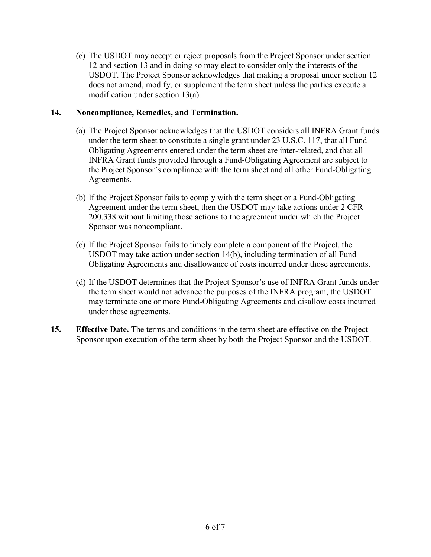(e) The USDOT may accept or reject proposals from the Project Sponsor under section 12 and section 13 and in doing so may elect to consider only the interests of the USDOT. The Project Sponsor acknowledges that making a proposal under section 12 does not amend, modify, or supplement the term sheet unless the parties execute a modification under section 13(a).

# **14. Noncompliance, Remedies, and Termination.**

- (a) The Project Sponsor acknowledges that the USDOT considers all INFRA Grant funds under the term sheet to constitute a single grant under 23 U.S.C. 117, that all Fund-Obligating Agreements entered under the term sheet are inter-related, and that all INFRA Grant funds provided through a Fund-Obligating Agreement are subject to the Project Sponsor's compliance with the term sheet and all other Fund-Obligating Agreements.
- (b) If the Project Sponsor fails to comply with the term sheet or a Fund-Obligating Agreement under the term sheet, then the USDOT may take actions under 2 CFR 200.338 without limiting those actions to the agreement under which the Project Sponsor was noncompliant.
- (c) If the Project Sponsor fails to timely complete a component of the Project, the USDOT may take action under section 14(b), including termination of all Fund-Obligating Agreements and disallowance of costs incurred under those agreements.
- (d) If the USDOT determines that the Project Sponsor's use of INFRA Grant funds under the term sheet would not advance the purposes of the INFRA program, the USDOT may terminate one or more Fund-Obligating Agreements and disallow costs incurred under those agreements.
- **15. Effective Date.** The terms and conditions in the term sheet are effective on the Project Sponsor upon execution of the term sheet by both the Project Sponsor and the USDOT.